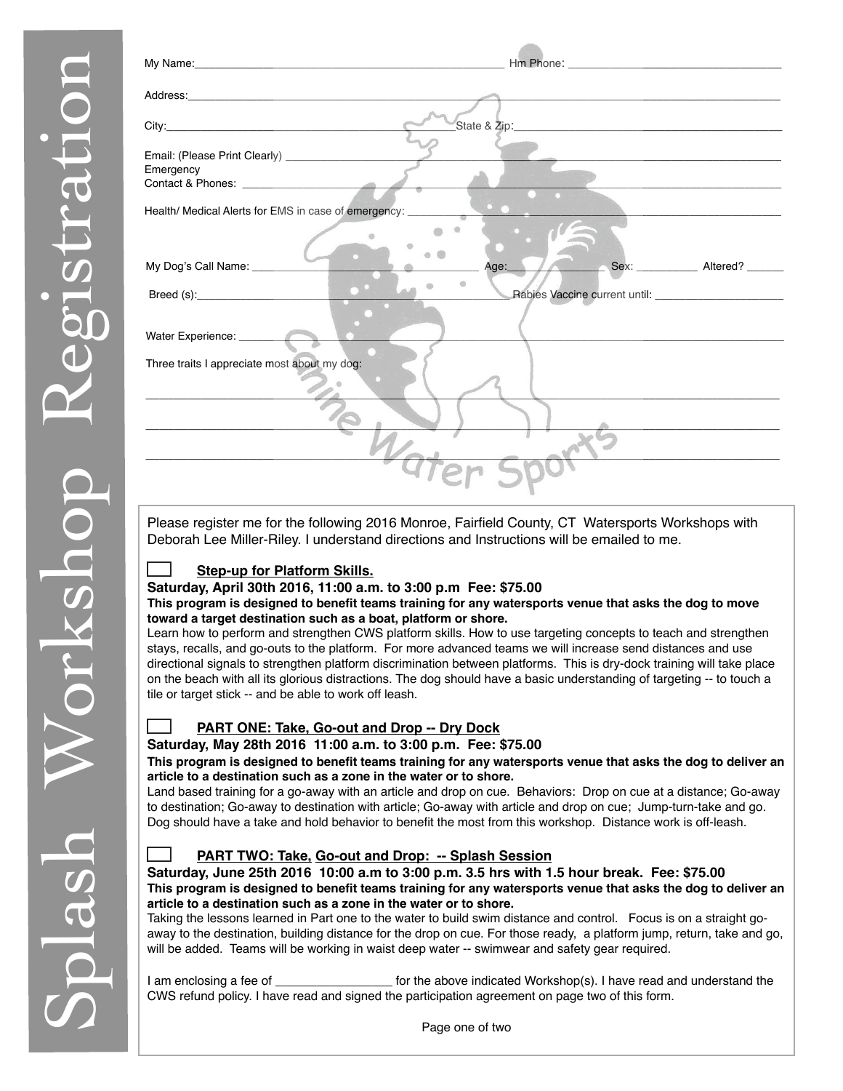| City: <b>Called the Community of the City:</b>         | State & Zip: 2008 2009                                                                                                                                                                                                                 |
|--------------------------------------------------------|----------------------------------------------------------------------------------------------------------------------------------------------------------------------------------------------------------------------------------------|
|                                                        |                                                                                                                                                                                                                                        |
| Emergency<br>Contact & Phones:                         |                                                                                                                                                                                                                                        |
| Health/ Medical Alerts for EMS in case of emergency: _ |                                                                                                                                                                                                                                        |
|                                                        |                                                                                                                                                                                                                                        |
| My Dog's Call Name: _________                          | Sex: Altered?<br>Age:                                                                                                                                                                                                                  |
|                                                        |                                                                                                                                                                                                                                        |
| Water Experience:                                      |                                                                                                                                                                                                                                        |
| Three traits I appreciate most about my dog:           |                                                                                                                                                                                                                                        |
|                                                        |                                                                                                                                                                                                                                        |
|                                                        |                                                                                                                                                                                                                                        |
|                                                        |                                                                                                                                                                                                                                        |
|                                                        |                                                                                                                                                                                                                                        |
|                                                        |                                                                                                                                                                                                                                        |
|                                                        | Please register me for the following 2016 Monroe, Fairfield County, CT Watersports Workshops with<br>Deborah Lee Miller-Riley. I understand directions and Instructions will be emailed to me.                                         |
| <b>Step-up for Platform Skills.</b>                    |                                                                                                                                                                                                                                        |
|                                                        | Saturday, April 30th 2016, 11:00 a.m. to 3:00 p.m Fee: \$75.00<br>This program is designed to benefit teams training for any watersports venue that asks the dog to move                                                               |
|                                                        | toward a target destination such as a boat, platform or shore.<br>Learn how to perform and strengthen CWS platform skills. How to use targeting concepts to teach and strengthen                                                       |
|                                                        | stays, recalls, and go-outs to the platform. For more advanced teams we will increase send distances and use<br>directional signals to strengthen platform discrimination between platforms. This is dry-dock training will take place |
| tile or target stick -- and be able to work off leash. | on the beach with all its glorious distractions. The dog should have a basic understanding of targeting -- to touch a                                                                                                                  |
|                                                        | <b>PART ONE: Take, Go-out and Drop -- Dry Dock</b>                                                                                                                                                                                     |
|                                                        | Saturday, May 28th 2016 11:00 a.m. to 3:00 p.m. Fee: \$75.00                                                                                                                                                                           |
|                                                        | This program is designed to benefit teams training for any watersports venue that asks the dog to deliver an<br>article to a destination such as a zone in the water or to shore.                                                      |
|                                                        | Land based training for a go-away with an article and drop on cue. Behaviors: Drop on cue at a distance; Go-away<br>to destination; Go-away to destination with article; Go-away with article and drop on cue; Jump-turn-take and go.  |
|                                                        | Dog should have a take and hold behavior to benefit the most from this workshop. Distance work is off-leash.                                                                                                                           |
|                                                        | PART TWO: Take, Go-out and Drop: -- Splash Session<br>Saturday, June 25th 2016 10:00 a.m to 3:00 p.m. 3.5 hrs with 1.5 hour break. Fee: \$75.00                                                                                        |
|                                                        | This program is designed to benefit teams training for any watersports venue that asks the dog to deliver an                                                                                                                           |
|                                                        | article to a destination such as a zone in the water or to shore.<br>Taking the lessons learned in Part one to the water to build swim distance and control. Focus is on a straight go-                                                |
|                                                        | away to the destination, building distance for the drop on cue. For those ready, a platform jump, return, take and go,<br>will be added. Teams will be working in waist deep water -- swimwear and safety gear required.               |
|                                                        | I am enclosing a fee of ________________________ for the above indicated Workshop(s). I have read and understand the                                                                                                                   |
|                                                        | CWS refund policy. I have read and signed the participation agreement on page two of this form.                                                                                                                                        |
|                                                        | Page one of two                                                                                                                                                                                                                        |

## **Step-up for Platform Skills.**

## **PART ONE: Take, Go-out and Drop -- Dry Dock**

#### **This program is designed to benefit teams training for any watersports venue that asks the dog to deliver an article to a destination such as a zone in the water or to shore.**

## **PART TWO: Take, Go-out and Drop: -- Splash Session**

Page one of two